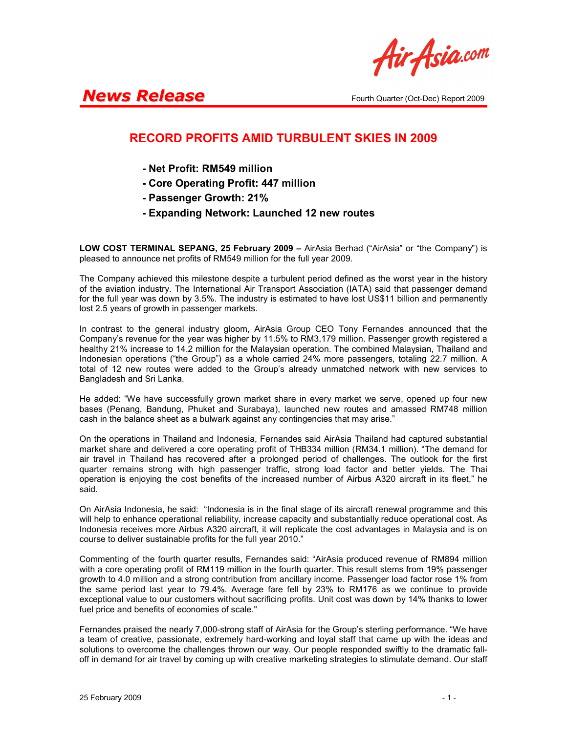Air Asia.com

## **News Release** Fourth Quarter (Oct-Dec) Report 2009

## RECORD PROFITS AMID TURBULENT SKIES IN 2009

- Net Profit: RM549 million
- Core Operating Profit: 447 million
- Passenger Growth: 21%
- Expanding Network: Launched 12 new routes

LOW COST TERMINAL SEPANG, 25 February 2009 - AirAsia Berhad ("AirAsia" or "the Company") is pleased to announce net profits of RM549 million for the full year 2009.

The Company achieved this milestone despite a turbulent period defined as the worst year in the history of the aviation industry. The International Air Transport Association (IATA) said that passenger demand for the full year was down by 3.5%. The industry is estimated to have lost US\$11 billion and permanently lost 2.5 years of growth in passenger markets.

In contrast to the general industry gloom, AirAsia Group CEO Tony Fernandes announced that the Company's revenue for the year was higher by 11.5% to RM3,179 million. Passenger growth registered a healthy 21% increase to 14.2 million for the Malaysian operation. The combined Malaysian, Thailand and Indonesian operations ("the Group") as a whole carried 24% more passengers, totaling 22.7 million. A total of 12 new routes were added to the Group's already unmatched network with new services to Bangladesh and Sri Lanka.

He added: "We have successfully grown market share in every market we serve, opened up four new bases (Penang, Bandung, Phuket and Surabaya), launched new routes and amassed RM748 million cash in the balance sheet as a bulwark against any contingencies that may arise."

On the operations in Thailand and Indonesia, Fernandes said AirAsia Thailand had captured substantial market share and delivered a core operating profit of THB334 million (RM34.1 million). "The demand for air travel in Thailand has recovered after a prolonged period of challenges. The outlook for the first quarter remains strong with high passenger traffic, strong load factor and better yields. The Thai operation is enjoying the cost benefits of the increased number of Airbus A320 aircraft in its fleet," he said.

On AirAsia Indonesia, he said: "Indonesia is in the final stage of its aircraft renewal programme and this will help to enhance operational reliability, increase capacity and substantially reduce operational cost. As Indonesia receives more Airbus A320 aircraft, it will replicate the cost advantages in Malaysia and is on course to deliver sustainable profits for the full year 2010."

Commenting of the fourth quarter results, Fernandes said: "AirAsia produced revenue of RM894 million with a core operating profit of RM119 million in the fourth quarter. This result stems from 19% passenger growth to 4.0 million and a strong contribution from ancillary income. Passenger load factor rose 1% from the same period last year to 79.4%. Average fare fell by 23% to RM176 as we continue to provide exceptional value to our customers without sacrificing profits. Unit cost was down by 14% thanks to lower fuel price and benefits of economies of scale."

Fernandes praised the nearly 7,000-strong staff of AirAsia for the Group's sterling performance. "We have a team of creative, passionate, extremely hard-working and loyal staff that came up with the ideas and solutions to overcome the challenges thrown our way. Our people responded swiftly to the dramatic falloff in demand for air travel by coming up with creative marketing strategies to stimulate demand. Our staff